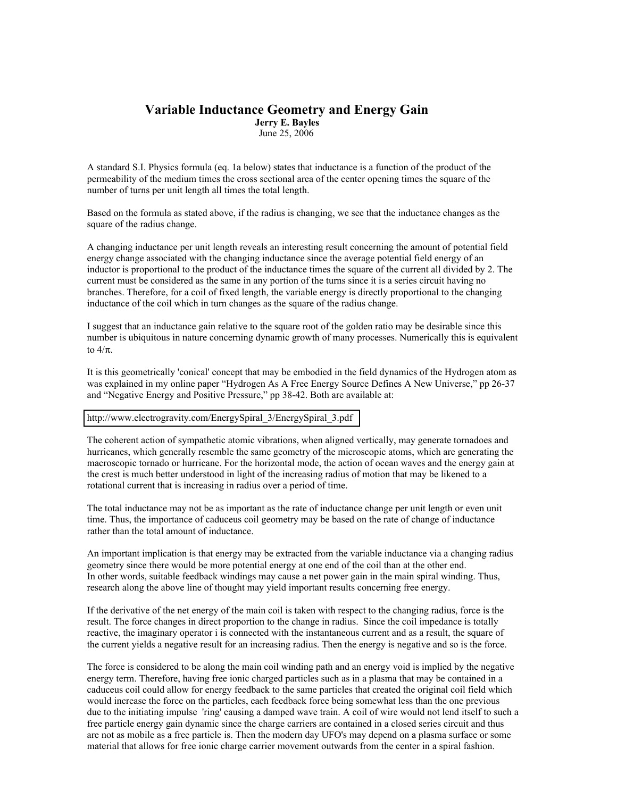## **Variable Inductance Geometry and Energy Gain Jerry E. Bayles**

June 25, 2006

A standard S.I. Physics formula (eq. 1a below) states that inductance is a function of the product of the permeability of the medium times the cross sectional area of the center opening times the square of the number of turns per unit length all times the total length.

Based on the formula as stated above, if the radius is changing, we see that the inductance changes as the square of the radius change.

A changing inductance per unit length reveals an interesting result concerning the amount of potential field energy change associated with the changing inductance since the average potential field energy of an inductor is proportional to the product of the inductance times the square of the current all divided by 2. The current must be considered as the same in any portion of the turns since it is a series circuit having no branches. Therefore, for a coil of fixed length, the variable energy is directly proportional to the changing inductance of the coil which in turn changes as the square of the radius change.

I suggest that an inductance gain relative to the square root of the golden ratio may be desirable since this number is ubiquitous in nature concerning dynamic growth of many processes. Numerically this is equivalent to  $4/\pi$ .

It is this geometrically 'conical' concept that may be embodied in the field dynamics of the Hydrogen atom as was explained in my online paper "Hydrogen As A Free Energy Source Defines A New Universe," pp 26-37 and "Negative Energy and Positive Pressure," pp 38-42. Both are available at:

[http://www.electrogravity.com/EnergySpiral\\_3/EnergySpiral\\_3.pdf](http://www.electrogravity.com/EnergySpiral_3/EnergySpiral_3.pdf)

The coherent action of sympathetic atomic vibrations, when aligned vertically, may generate tornadoes and hurricanes, which generally resemble the same geometry of the microscopic atoms, which are generating the macroscopic tornado or hurricane. For the horizontal mode, the action of ocean waves and the energy gain at the crest is much better understood in light of the increasing radius of motion that may be likened to a rotational current that is increasing in radius over a period of time.

The total inductance may not be as important as the rate of inductance change per unit length or even unit time. Thus, the importance of caduceus coil geometry may be based on the rate of change of inductance rather than the total amount of inductance.

An important implication is that energy may be extracted from the variable inductance via a changing radius geometry since there would be more potential energy at one end of the coil than at the other end. In other words, suitable feedback windings may cause a net power gain in the main spiral winding. Thus, research along the above line of thought may yield important results concerning free energy.

If the derivative of the net energy of the main coil is taken with respect to the changing radius, force is the result. The force changes in direct proportion to the change in radius. Since the coil impedance is totally reactive, the imaginary operator i is connected with the instantaneous current and as a result, the square of the current yields a negative result for an increasing radius. Then the energy is negative and so is the force.

The force is considered to be along the main coil winding path and an energy void is implied by the negative energy term. Therefore, having free ionic charged particles such as in a plasma that may be contained in a caduceus coil could allow for energy feedback to the same particles that created the original coil field which would increase the force on the particles, each feedback force being somewhat less than the one previous due to the initiating impulse 'ring' causing a damped wave train. A coil of wire would not lend itself to such a free particle energy gain dynamic since the charge carriers are contained in a closed series circuit and thus are not as mobile as a free particle is. Then the modern day UFO's may depend on a plasma surface or some material that allows for free ionic charge carrier movement outwards from the center in a spiral fashion.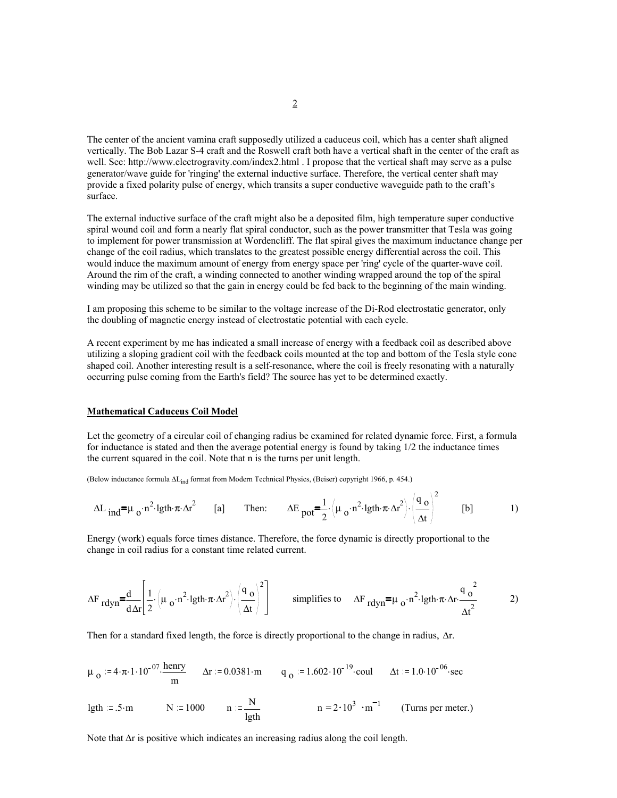The center of the ancient vamina craft supposedly utilized a caduceus coil, which has a center shaft aligned vertically. The Bob Lazar S-4 craft and the Roswell craft both have a vertical shaft in the center of the craft as well. See: http://www.electrogravity.com/index2.html . I propose that the vertical shaft may serve as a pulse generator/wave guide for 'ringing' the external inductive surface. Therefore, the vertical center shaft may provide a fixed polarity pulse of energy, which transits a super conductive waveguide path to the craft's surface.

The external inductive surface of the craft might also be a deposited film, high temperature super conductive spiral wound coil and form a nearly flat spiral conductor, such as the power transmitter that Tesla was going to implement for power transmission at Wordencliff. The flat spiral gives the maximum inductance change per change of the coil radius, which translates to the greatest possible energy differential across the coil. This would induce the maximum amount of energy from energy space per 'ring' cycle of the quarter-wave coil. Around the rim of the craft, a winding connected to another winding wrapped around the top of the spiral winding may be utilized so that the gain in energy could be fed back to the beginning of the main winding.

I am proposing this scheme to be similar to the voltage increase of the Di-Rod electrostatic generator, only the doubling of magnetic energy instead of electrostatic potential with each cycle.

A recent experiment by me has indicated a small increase of energy with a feedback coil as described above utilizing a sloping gradient coil with the feedback coils mounted at the top and bottom of the Tesla style cone shaped coil. Another interesting result is a self-resonance, where the coil is freely resonating with a naturally occurring pulse coming from the Earth's field? The source has yet to be determined exactly.

## **Mathematical Caduceus Coil Model**

Let the geometry of a circular coil of changing radius be examined for related dynamic force. First, a formula for inductance is stated and then the average potential energy is found by taking 1/2 the inductance times the current squared in the coil. Note that n is the turns per unit length.

(Below inductance formula ∆Lind format from Modern Technical Physics, (Beiser) copyright 1966, p. 454.)

$$
\Delta L_{ind} = \mu_0 \cdot n^2 \cdot \lgth \cdot \pi \cdot \Delta r^2
$$
 [a] Then: 
$$
\Delta E_{pot} = \frac{1}{2} \cdot \left( \mu_0 \cdot n^2 \cdot \lgth \cdot \pi \cdot \Delta r^2 \right) \cdot \left( \frac{q_0}{\Delta t} \right)^2
$$
 [b] [b]

Energy (work) equals force times distance. Therefore, the force dynamic is directly proportional to the change in coil radius for a constant time related current.

$$
\Delta F_{rdyn} = \frac{d}{d \Delta r} \left[ \frac{1}{2} \cdot \left( \mu_0 \cdot n^2 \cdot 1 \text{gth} \cdot \pi \cdot \Delta r^2 \right) \cdot \left( \frac{q_0}{\Delta t} \right)^2 \right] \qquad \text{simplifies to} \qquad \Delta F_{rdyn} = \mu_0 \cdot n^2 \cdot 1 \text{gth} \cdot \pi \cdot \Delta r \cdot \frac{q_0^2}{\Delta t^2} \qquad \qquad 2)
$$

Then for a standard fixed length, the force is directly proportional to the change in radius, ∆r.

$$
\mu_0 := 4 \cdot \pi \cdot 1 \cdot 10^{-07} \cdot \frac{\text{henry}}{\text{m}} \qquad \Delta r := 0.0381 \cdot \text{m} \qquad q_0 := 1.602 \cdot 10^{-19} \cdot \text{coul} \qquad \Delta t := 1.0 \cdot 10^{-06} \cdot \text{sec}
$$

$$
lgth := .5 \cdot m
$$
 N := 1000 n :=  $\frac{N}{lgth}$  n = 2 \cdot 10<sup>3</sup> · m<sup>-1</sup> (Turns per meter.)

Note that ∆r is positive which indicates an increasing radius along the coil length.